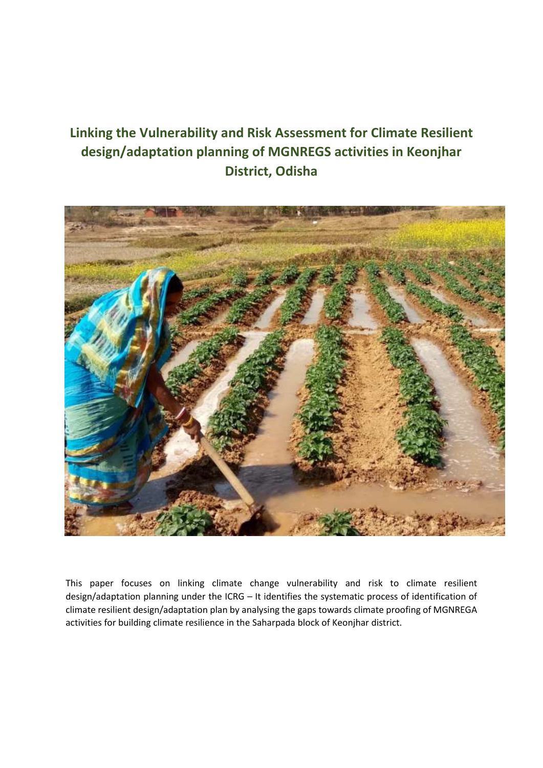# **Linking the Vulnerability and Risk Assessment for Climate Resilient design/adaptation planning of MGNREGS activities in Keonjhar District, Odisha**



This paper focuses on linking climate change vulnerability and risk to climate resilient design/adaptation planning under the ICRG – It identifies the systematic process of identification of climate resilient design/adaptation plan by analysing the gaps towards climate proofing of MGNREGA activities for building climate resilience in the Saharpada block of Keonjhar district.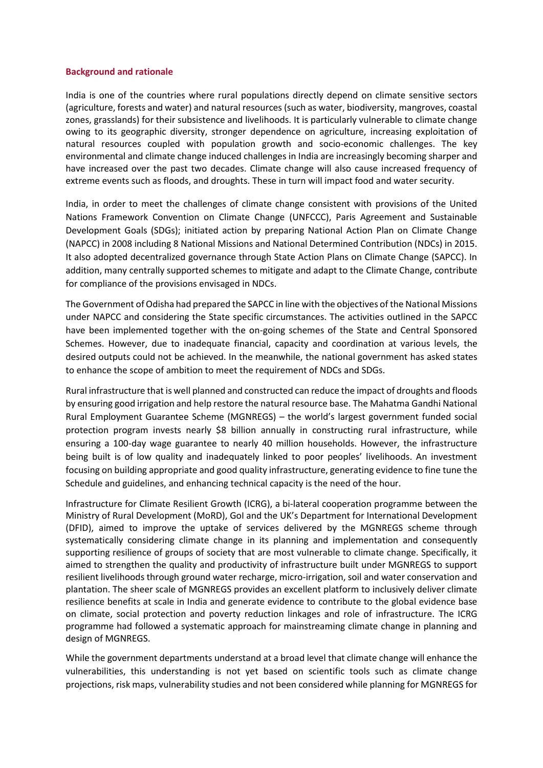#### **Background and rationale**

India is one of the countries where rural populations directly depend on climate sensitive sectors (agriculture, forests and water) and natural resources (such as water, biodiversity, mangroves, coastal zones, grasslands) for their subsistence and livelihoods. It is particularly vulnerable to climate change owing to its geographic diversity, stronger dependence on agriculture, increasing exploitation of natural resources coupled with population growth and socio-economic challenges. The key environmental and climate change induced challenges in India are increasingly becoming sharper and have increased over the past two decades. Climate change will also cause increased frequency of extreme events such as floods, and droughts. These in turn will impact food and water security.

India, in order to meet the challenges of climate change consistent with provisions of the United Nations Framework Convention on Climate Change (UNFCCC), Paris Agreement and Sustainable Development Goals (SDGs); initiated action by preparing National Action Plan on Climate Change (NAPCC) in 2008 including 8 National Missions and National Determined Contribution (NDCs) in 2015. It also adopted decentralized governance through State Action Plans on Climate Change (SAPCC). In addition, many centrally supported schemes to mitigate and adapt to the Climate Change, contribute for compliance of the provisions envisaged in NDCs.

The Government of Odisha had prepared the SAPCC in line with the objectives of the National Missions under NAPCC and considering the State specific circumstances. The activities outlined in the SAPCC have been implemented together with the on-going schemes of the State and Central Sponsored Schemes. However, due to inadequate financial, capacity and coordination at various levels, the desired outputs could not be achieved. In the meanwhile, the national government has asked states to enhance the scope of ambition to meet the requirement of NDCs and SDGs.

Rural infrastructure that is well planned and constructed can reduce the impact of droughts and floods by ensuring good irrigation and help restore the natural resource base. The Mahatma Gandhi National Rural Employment Guarantee Scheme (MGNREGS) – the world's largest government funded social protection program invests nearly \$8 billion annually in constructing rural infrastructure, while ensuring a 100-day wage guarantee to nearly 40 million households. However, the infrastructure being built is of low quality and inadequately linked to poor peoples' livelihoods. An investment focusing on building appropriate and good quality infrastructure, generating evidence to fine tune the Schedule and guidelines, and enhancing technical capacity is the need of the hour.

Infrastructure for Climate Resilient Growth (ICRG), a bi-lateral cooperation programme between the Ministry of Rural Development (MoRD), GoI and the UK's Department for International Development (DFID), aimed to improve the uptake of services delivered by the MGNREGS scheme through systematically considering climate change in its planning and implementation and consequently supporting resilience of groups of society that are most vulnerable to climate change. Specifically, it aimed to strengthen the quality and productivity of infrastructure built under MGNREGS to support resilient livelihoods through ground water recharge, micro-irrigation, soil and water conservation and plantation. The sheer scale of MGNREGS provides an excellent platform to inclusively deliver climate resilience benefits at scale in India and generate evidence to contribute to the global evidence base on climate, social protection and poverty reduction linkages and role of infrastructure. The ICRG programme had followed a systematic approach for mainstreaming climate change in planning and design of MGNREGS.

While the government departments understand at a broad level that climate change will enhance the vulnerabilities, this understanding is not yet based on scientific tools such as climate change projections, risk maps, vulnerability studies and not been considered while planning for MGNREGS for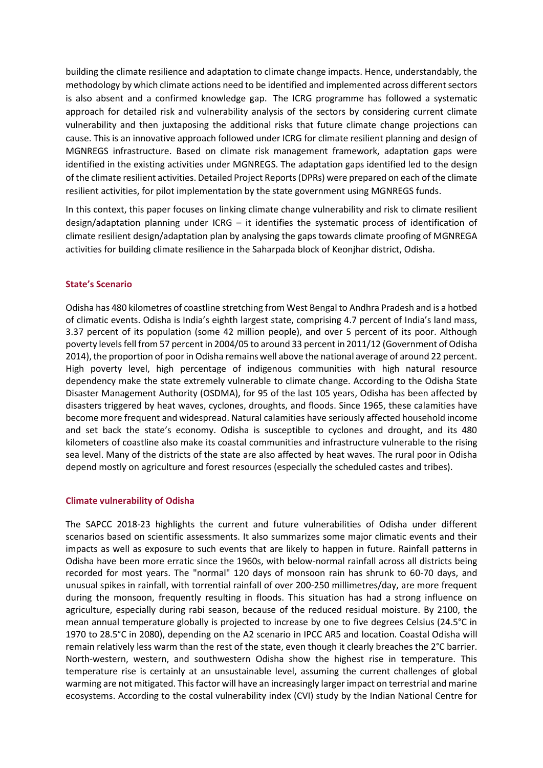building the climate resilience and adaptation to climate change impacts. Hence, understandably, the methodology by which climate actions need to be identified and implemented across different sectors is also absent and a confirmed knowledge gap. The ICRG programme has followed a systematic approach for detailed risk and vulnerability analysis of the sectors by considering current climate vulnerability and then juxtaposing the additional risks that future climate change projections can cause. This is an innovative approach followed under ICRG for climate resilient planning and design of MGNREGS infrastructure. Based on climate risk management framework, adaptation gaps were identified in the existing activities under MGNREGS. The adaptation gaps identified led to the design of the climate resilient activities. Detailed Project Reports (DPRs) were prepared on each of the climate resilient activities, for pilot implementation by the state government using MGNREGS funds.

In this context, this paper focuses on linking climate change vulnerability and risk to climate resilient design/adaptation planning under ICRG – it identifies the systematic process of identification of climate resilient design/adaptation plan by analysing the gaps towards climate proofing of MGNREGA activities for building climate resilience in the Saharpada block of Keonjhar district, Odisha.

#### **State's Scenario**

Odisha has 480 kilometres of coastline stretching from West Bengal to Andhra Pradesh and is a hotbed of climatic events. Odisha is India's eighth largest state, comprising 4.7 percent of India's land mass, 3.37 percent of its population (some 42 million people), and over 5 percent of its poor. Although poverty levels fell from 57 percent in 2004/05 to around 33 percent in 2011/12 (Government of Odisha 2014), the proportion of poor in Odisha remains well above the national average of around 22 percent. High poverty level, high percentage of indigenous communities with high natural resource dependency make the state extremely vulnerable to climate change. According to the Odisha State Disaster Management Authority (OSDMA), for 95 of the last 105 years, Odisha has been affected by disasters triggered by heat waves, cyclones, droughts, and floods. Since 1965, these calamities have become more frequent and widespread. Natural calamities have seriously affected household income and set back the state's economy. Odisha is susceptible to cyclones and drought, and its 480 kilometers of coastline also make its coastal communities and infrastructure vulnerable to the rising sea level. Many of the districts of the state are also affected by heat waves. The rural poor in Odisha depend mostly on agriculture and forest resources (especially the scheduled castes and tribes).

#### **Climate vulnerability of Odisha**

The SAPCC 2018-23 highlights the current and future vulnerabilities of Odisha under different scenarios based on scientific assessments. It also summarizes some major climatic events and their impacts as well as exposure to such events that are likely to happen in future. Rainfall patterns in Odisha have been more erratic since the 1960s, with below-normal rainfall across all districts being recorded for most years. The "normal" 120 days of monsoon rain has shrunk to 60-70 days, and unusual spikes in rainfall, with torrential rainfall of over 200-250 millimetres/day, are more frequent during the monsoon, frequently resulting in floods. This situation has had a strong influence on agriculture, especially during rabi season, because of the reduced residual moisture. By 2100, the mean annual temperature globally is projected to increase by one to five degrees Celsius (24.5°C in 1970 to 28.5°C in 2080), depending on the A2 scenario in IPCC AR5 and location. Coastal Odisha will remain relatively less warm than the rest of the state, even though it clearly breaches the 2°C barrier. North-western, western, and southwestern Odisha show the highest rise in temperature. This temperature rise is certainly at an unsustainable level, assuming the current challenges of global warming are not mitigated. This factor will have an increasingly larger impact on terrestrial and marine ecosystems. According to the costal vulnerability index (CVI) study by the Indian National Centre for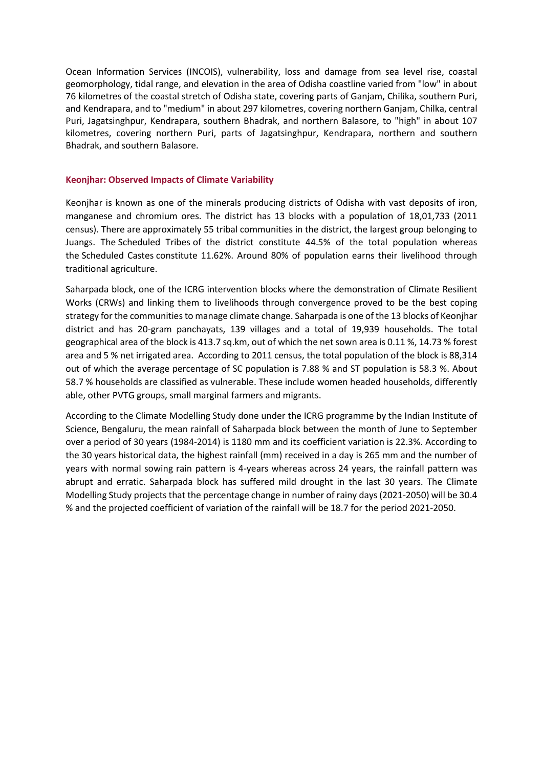Ocean Information Services (INCOIS), vulnerability, loss and damage from sea level rise, coastal geomorphology, tidal range, and elevation in the area of Odisha coastline varied from "low" in about 76 kilometres of the coastal stretch of Odisha state, covering parts of Ganjam, Chilika, southern Puri, and Kendrapara, and to "medium" in about 297 kilometres, covering northern Ganjam, Chilka, central Puri, Jagatsinghpur, Kendrapara, southern Bhadrak, and northern Balasore, to "high" in about 107 kilometres, covering northern Puri, parts of Jagatsinghpur, Kendrapara, northern and southern Bhadrak, and southern Balasore.

### **Keonjhar: Observed Impacts of Climate Variability**

Keonjhar is known as one of the minerals producing districts of Odisha with vast deposits of iron, manganese and chromium ores. The district has 13 blocks with a population of 18,01,733 (2011 census). There are approximately 55 tribal communities in the district, the largest group belonging to Juangs. The Scheduled Tribes of the district constitute 44.5% of the total population whereas the Scheduled Castes constitute 11.62%. Around 80% of population earns their livelihood through traditional agriculture.

Saharpada block, one of the ICRG intervention blocks where the demonstration of Climate Resilient Works (CRWs) and linking them to livelihoods through convergence proved to be the best coping strategy for the communities to manage climate change. Saharpada is one of the 13 blocks of Keonjhar district and has 20-gram panchayats, 139 villages and a total of 19,939 households. The total geographical area of the block is 413.7 sq.km, out of which the net sown area is 0.11 %, 14.73 % forest area and 5 % net irrigated area. According to 2011 census, the total population of the block is 88,314 out of which the average percentage of SC population is 7.88 % and ST population is 58.3 %. About 58.7 % households are classified as vulnerable. These include women headed households, differently able, other PVTG groups, small marginal farmers and migrants.

According to the Climate Modelling Study done under the ICRG programme by the Indian Institute of Science, Bengaluru, the mean rainfall of Saharpada block between the month of June to September over a period of 30 years (1984-2014) is 1180 mm and its coefficient variation is 22.3%. According to the 30 years historical data, the highest rainfall (mm) received in a day is 265 mm and the number of years with normal sowing rain pattern is 4-years whereas across 24 years, the rainfall pattern was abrupt and erratic. Saharpada block has suffered mild drought in the last 30 years. The Climate Modelling Study projects that the percentage change in number of rainy days (2021-2050) will be 30.4 % and the projected coefficient of variation of the rainfall will be 18.7 for the period 2021-2050.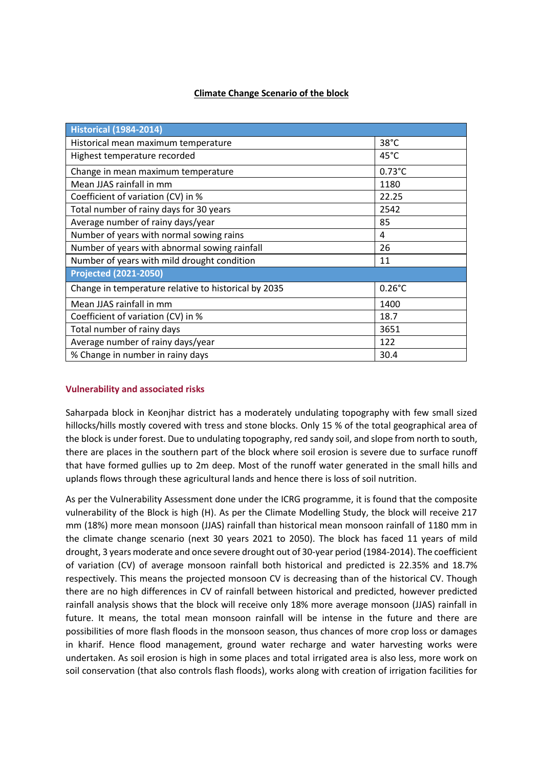# **Climate Change Scenario of the block**

| <b>Historical (1984-2014)</b>                        |                  |
|------------------------------------------------------|------------------|
| Historical mean maximum temperature                  | $38^{\circ}$ C   |
| Highest temperature recorded                         | 45°C             |
| Change in mean maximum temperature                   | $0.73^{\circ}$ C |
| Mean JJAS rainfall in mm                             | 1180             |
| Coefficient of variation (CV) in %                   | 22.25            |
| Total number of rainy days for 30 years              | 2542             |
| Average number of rainy days/year                    | 85               |
| Number of years with normal sowing rains             | 4                |
| Number of years with abnormal sowing rainfall        | 26               |
| Number of years with mild drought condition          | 11               |
| <b>Projected (2021-2050)</b>                         |                  |
| Change in temperature relative to historical by 2035 | $0.26^{\circ}$ C |
| Mean JJAS rainfall in mm                             | 1400             |
| Coefficient of variation (CV) in %                   | 18.7             |
| Total number of rainy days                           | 3651             |
| Average number of rainy days/year                    | 122              |
| % Change in number in rainy days                     | 30.4             |

## **Vulnerability and associated risks**

Saharpada block in Keonjhar district has a moderately undulating topography with few small sized hillocks/hills mostly covered with tress and stone blocks. Only 15 % of the total geographical area of the block is under forest. Due to undulating topography, red sandy soil, and slope from north to south, there are places in the southern part of the block where soil erosion is severe due to surface runoff that have formed gullies up to 2m deep. Most of the runoff water generated in the small hills and uplands flows through these agricultural lands and hence there is loss of soil nutrition.

As per the Vulnerability Assessment done under the ICRG programme, it is found that the composite vulnerability of the Block is high (H). As per the Climate Modelling Study, the block will receive 217 mm (18%) more mean monsoon (JJAS) rainfall than historical mean monsoon rainfall of 1180 mm in the climate change scenario (next 30 years 2021 to 2050). The block has faced 11 years of mild drought, 3 years moderate and once severe drought out of 30-year period (1984-2014). The coefficient of variation (CV) of average monsoon rainfall both historical and predicted is 22.35% and 18.7% respectively. This means the projected monsoon CV is decreasing than of the historical CV. Though there are no high differences in CV of rainfall between historical and predicted, however predicted rainfall analysis shows that the block will receive only 18% more average monsoon (JJAS) rainfall in future. It means, the total mean monsoon rainfall will be intense in the future and there are possibilities of more flash floods in the monsoon season, thus chances of more crop loss or damages in kharif. Hence flood management, ground water recharge and water harvesting works were undertaken. As soil erosion is high in some places and total irrigated area is also less, more work on soil conservation (that also controls flash floods), works along with creation of irrigation facilities for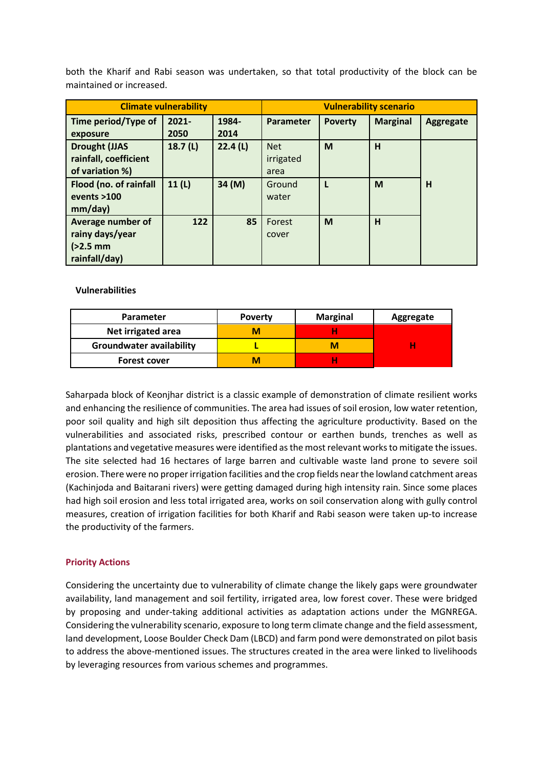both the Kharif and Rabi season was undertaken, so that total productivity of the block can be maintained or increased.

| <b>Climate vulnerability</b>                                                                                         |                     |                   | <b>Vulnerability scenario</b>                      |                |                 |                  |
|----------------------------------------------------------------------------------------------------------------------|---------------------|-------------------|----------------------------------------------------|----------------|-----------------|------------------|
| Time period/Type of<br>exposure                                                                                      | $2021 -$<br>2050    | 1984-<br>2014     | Parameter                                          | <b>Poverty</b> | <b>Marginal</b> | <b>Aggregate</b> |
| <b>Drought (JJAS</b><br>rainfall, coefficient<br>of variation %)<br>Flood (no. of rainfall<br>events >100<br>mm/day) | 18.7 $(L)$<br>11(L) | 22.4(L)<br>34 (M) | <b>Net</b><br>irrigated<br>area<br>Ground<br>water | M              | H<br>M          | н                |
| <b>Average number of</b><br>rainy days/year<br>$(>2.5$ mm<br>rainfall/day)                                           | 122                 | 85                | Forest<br>cover                                    | M              | H               |                  |

### **Vulnerabilities**

| <b>Parameter</b>                | <b>Poverty</b> | <b>Marginal</b> | Aggregate |
|---------------------------------|----------------|-----------------|-----------|
| Net irrigated area              |                |                 |           |
| <b>Groundwater availability</b> |                |                 |           |
| <b>Forest cover</b>             |                |                 |           |

Saharpada block of Keonjhar district is a classic example of demonstration of climate resilient works and enhancing the resilience of communities. The area had issues of soil erosion, low water retention, poor soil quality and high silt deposition thus affecting the agriculture productivity. Based on the vulnerabilities and associated risks, prescribed contour or earthen bunds, trenches as well as plantations and vegetative measures were identified as the most relevant works to mitigate the issues. The site selected had 16 hectares of large barren and cultivable waste land prone to severe soil erosion. There were no proper irrigation facilities and the crop fields near the lowland catchment areas (Kachinjoda and Baitarani rivers) were getting damaged during high intensity rain. Since some places had high soil erosion and less total irrigated area, works on soil conservation along with gully control measures, creation of irrigation facilities for both Kharif and Rabi season were taken up-to increase the productivity of the farmers.

## **Priority Actions**

Considering the uncertainty due to vulnerability of climate change the likely gaps were groundwater availability, land management and soil fertility, irrigated area, low forest cover. These were bridged by proposing and under-taking additional activities as adaptation actions under the MGNREGA. Considering the vulnerability scenario, exposure to long term climate change and the field assessment, land development, Loose Boulder Check Dam (LBCD) and farm pond were demonstrated on pilot basis to address the above-mentioned issues. The structures created in the area were linked to livelihoods by leveraging resources from various schemes and programmes.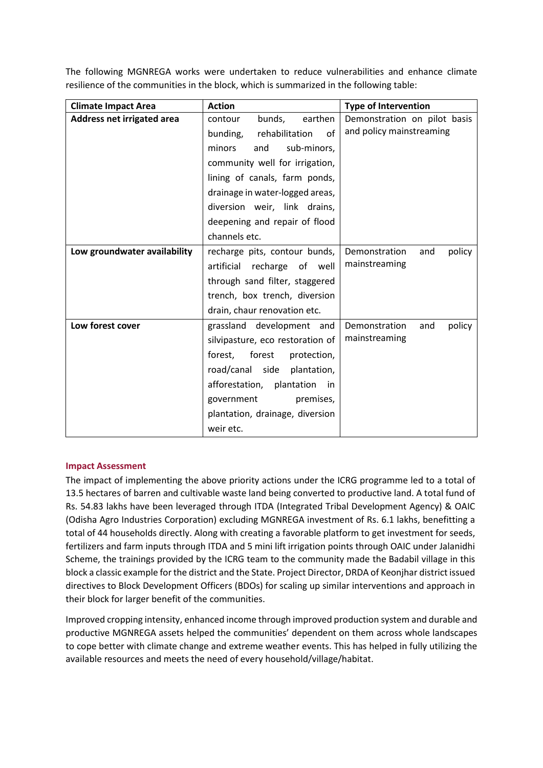The following MGNREGA works were undertaken to reduce vulnerabilities and enhance climate resilience of the communities in the block, which is summarized in the following table:

| <b>Climate Impact Area</b>   | <b>Action</b>                      | <b>Type of Intervention</b>    |  |  |
|------------------------------|------------------------------------|--------------------------------|--|--|
| Address net irrigated area   | bunds,<br>earthen<br>contour       | Demonstration on pilot basis   |  |  |
|                              | rehabilitation<br>bunding,<br>of   | and policy mainstreaming       |  |  |
|                              | minors<br>sub-minors,<br>and       |                                |  |  |
|                              | community well for irrigation,     |                                |  |  |
|                              | lining of canals, farm ponds,      |                                |  |  |
|                              | drainage in water-logged areas,    |                                |  |  |
|                              | diversion weir, link drains,       |                                |  |  |
|                              | deepening and repair of flood      |                                |  |  |
|                              | channels etc.                      |                                |  |  |
| Low groundwater availability | recharge pits, contour bunds,      | Demonstration<br>and<br>policy |  |  |
|                              | artificial<br>recharge<br>of well  | mainstreaming                  |  |  |
|                              | through sand filter, staggered     |                                |  |  |
|                              | trench, box trench, diversion      |                                |  |  |
|                              | drain, chaur renovation etc.       |                                |  |  |
| Low forest cover             | grassland development and          | Demonstration<br>policy<br>and |  |  |
|                              | silvipasture, eco restoration of   | mainstreaming                  |  |  |
|                              | forest,<br>forest<br>protection,   |                                |  |  |
|                              | road/canal side<br>plantation,     |                                |  |  |
|                              | afforestation,<br>plantation<br>in |                                |  |  |
|                              | premises,<br>government            |                                |  |  |
|                              | plantation, drainage, diversion    |                                |  |  |
|                              | weir etc.                          |                                |  |  |

### **Impact Assessment**

The impact of implementing the above priority actions under the ICRG programme led to a total of 13.5 hectares of barren and cultivable waste land being converted to productive land. A total fund of Rs. 54.83 lakhs have been leveraged through ITDA (Integrated Tribal Development Agency) & OAIC (Odisha Agro Industries Corporation) excluding MGNREGA investment of Rs. 6.1 lakhs, benefitting a total of 44 households directly. Along with creating a favorable platform to get investment for seeds, fertilizers and farm inputs through ITDA and 5 mini lift irrigation points through OAIC under Jalanidhi Scheme, the trainings provided by the ICRG team to the community made the Badabil village in this block a classic example for the district and the State. Project Director, DRDA of Keonjhar district issued directives to Block Development Officers (BDOs) for scaling up similar interventions and approach in their block for larger benefit of the communities.

Improved cropping intensity, enhanced income through improved production system and durable and productive MGNREGA assets helped the communities' dependent on them across whole landscapes to cope better with climate change and extreme weather events. This has helped in fully utilizing the available resources and meets the need of every household/village/habitat.